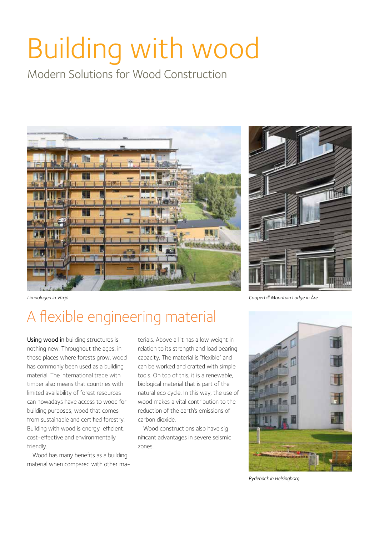# Building with wood

Modern Solutions for Wood Construction





*Cooperhill Mountain Lodge in Åre*

#### *Limnologen in Växjö*

## A flexible engineering material

Using wood in building structures is nothing new. Throughout the ages, in those places where forests grow, wood has commonly been used as a building material. The international trade with timber also means that countries with limited availability of forest resources can nowadays have access to wood for building purposes, wood that comes from sustainable and certified forestry. Building with wood is energy-efficient, cost-effective and environmentally friendly.

Wood has many benefits as a building material when compared with other materials. Above all it has a low weight in relation to its strength and load bearing capacity. The material is "flexible" and can be worked and crafted with simple tools. On top of this, it is a renewable, biological material that is part of the natural eco cycle. In this way, the use of wood makes a vital contribution to the reduction of the earth's emissions of carbon dioxide.

Wood constructions also have significant advantages in severe seismic zones.



*Rydebäck in Helsingborg*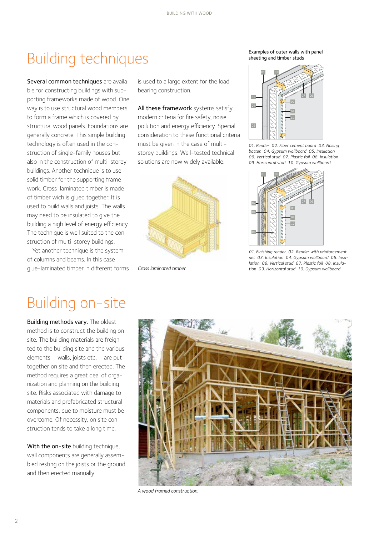#### Building techniques

Several common techniques are available for constructing buildings with supporting frameworks made of wood. One way is to use structural wood members to form a frame which is covered by structural wood panels. Foundations are generally concrete. This simple building technology is often used in the construction of single-family houses but also in the construction of multi-storey buildings. Another technique is to use solid timber for the supporting framework. Cross-laminated timber is made of timber wich is glued together. It is used to build walls and joists. The walls may need to be insulated to give the building a high level of energy efficiency. The technique is well suited to the construction of multi-storey buildings.

Yet another technique is the system of columns and beams. In this case glue-laminated timber in different forms is used to a large extent for the loadbearing construction.

All these framework systems satisfy modern criteria for fire safety, noise pollution and energy efficiency. Special consideration to these functional criteria must be given in the case of multistorey buildings. Well-tested technical solutions are now widely available.



*Cross laminated timber.*

Examples of outer walls with panel sheeting and timber studs



*01. Render 02. Fiber cement board 03. Nailing batten 04. Gypsum wallboard 05. Insulation 06. Vertical stud 07. Plastic foil 08. Insulation 09. Horizontal stud 10. Gypsum wallboard* 



*01. Finishing render 02. Render with reinforcement net 03. Insulation 04. Gypsum wallboard 05. Insulation 06. Vertical stud 07. Plastic foil 08. Insulation 09. Horizontal stud 10. Gypsum wallboard* 

#### Building on-site

Building methods vary. The oldest method is to construct the building on site. The building materials are freighted to the building site and the various elements – walls, joists etc. – are put together on site and then erected. The method requires a great deal of organization and planning on the building site. Risks associated with damage to materials and prefabricated structural components, due to moisture must be overcome. Of necessity, on site construction tends to take a long time.

With the on-site building technique, wall components are generally assembled resting on the joists or the ground and then erected manually.



*A wood framed construction.*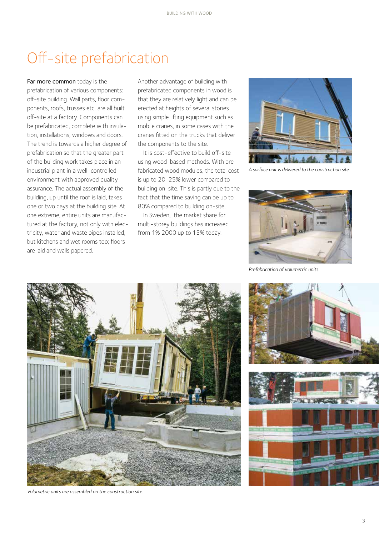### Off-site prefabrication

Far more common today is the prefabrication of various components: off-site building. Wall parts, floor components, roofs, trusses etc. are all built off-site at a factory. Components can be prefabricated, complete with insulation, installations, windows and doors. The trend is towards a higher degree of prefabrication so that the greater part of the building work takes place in an industrial plant in a well-controlled environment with approved quality assurance. The actual assembly of the building, up until the roof is laid, takes one or two days at the building site. At one extreme, entire units are manufactured at the factory, not only with electricity, water and waste pipes installed, but kitchens and wet rooms too; floors are laid and walls papered.

Another advantage of building with prefabricated components in wood is that they are relatively light and can be erected at heights of several stories using simple lifting equipment such as mobile cranes, in some cases with the cranes fitted on the trucks that deliver the components to the site.

It is cost-effective to build off-site using wood-based methods. With prefabricated wood modules, the total cost is up to 20-25% lower compared to building on-site. This is partly due to the fact that the time saving can be up to 80% compared to building on-site.

In Sweden, the market share for multi-storey buildings has increased from 1% 2000 up to 15% today.



*A surface unit is delivered to the construction site.*



*Prefabrication of volumetric units.*



*Volumetric units are assembled on the construction site.*

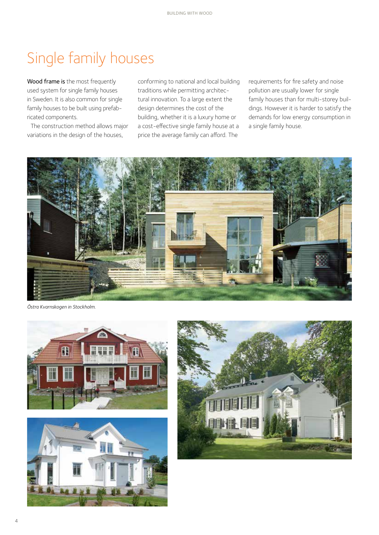### Single family houses

Wood frame is the most frequently used system for single family houses in Sweden. It is also common for single family houses to be built using prefabricated components.

The construction method allows major variations in the design of the houses,

conforming to national and local building traditions while permitting architectural innovation. To a large extent the design determines the cost of the building, whether it is a luxury home or a cost-effective single family house at a price the average family can afford. The

requirements for fire safety and noise pollution are usually lower for single family houses than for multi-storey buildings. However it is harder to satisfy the demands for low energy consumption in a single family house.



*Östra Kvarnskogen in Stockholm.*





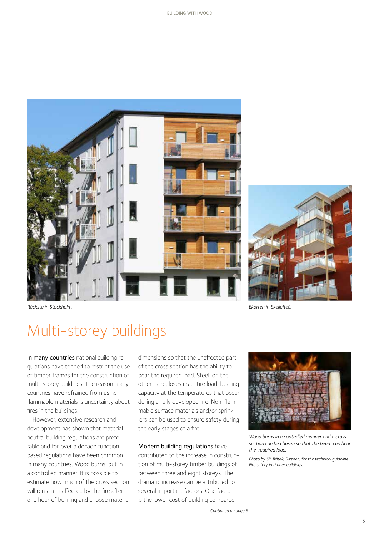



*Råcksta in Stockholm. Ekorren in Skellefteå.*

#### Multi-storey buildings

In many countries national building regulations have tended to restrict the use of timber frames for the construction of multi-storey buildings. The reason many countries have refrained from using flammable materials is uncertainty about fires in the buildings.

However, extensive research and development has shown that materialneutral building regulations are preferable and for over a decade functionbased regulations have been common in many countries. Wood burns, but in a controlled manner. It is possible to estimate how much of the cross section will remain unaffected by the fire after one hour of burning and choose material dimensions so that the unaffected part of the cross section has the ability to bear the required load. Steel, on the other hand, loses its entire load-bearing capacity at the temperatures that occur during a fully developed fire. Non-flammable surface materials and/or sprinklers can be used to ensure safety during the early stages of a fire.

Modern building regulations have contributed to the increase in construction of multi-storey timber buildings of between three and eight storeys. The dramatic increase can be attributed to several important factors. One factor is the lower cost of building compared



*Wood burns in a controlled manner and a cross section can be chosen so that the beam can bear the required load.* 

*Photo by SP Trätek, Sweden, for the technical guideline Fire safety in timber buildings.*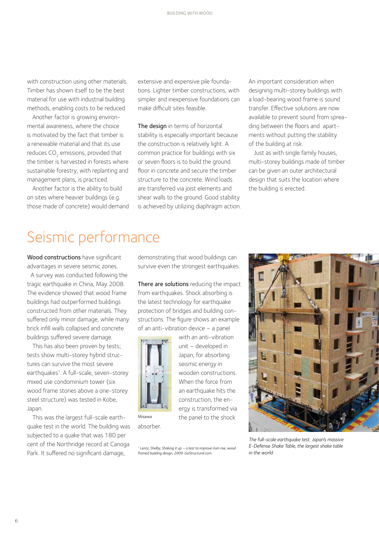with construction using other materials. Timber has shown itself to be the best material for use with industrial building methods, enabling costs to be reduced.

Another factor is growing environmental awareness, where the choice is motivated by the fact that timber is a renewable material and that its use reduces CO<sub>2</sub> emissions, provided that the timber is harvested in forests where sustainable forestry, with replanting and management plans, is practiced.

Another factor is the ability to build on sites where heavier buildings (e.g. those made of concrete) would demand extensive and expensive pile foundations. Lighter timber constructions, with simpler and inexpensive foundations can make difficult sites feasible.

The design in terms of horizontal stability is especially important because the construction is relatively light. A common practice for buildings with six or seven floors is to build the ground floor in concrete and secure the timber structure to the concrete. Wind loads are transferred via joist elements and shear walls to the ground. Good stability is achieved by utilizing diaphragm action. An important consideration when designing multi-storey buildings with a load-bearing wood frame is sound transfer. Effective solutions are now available to prevent sound from spreading between the floors and apartments without putting the stability of the building at risk.

Just as with single family houses, multi-storey buildings made of timber can be given an outer architectural design that suits the location where the building is erected.

#### Seismic performance

Wood constructions have significant advantages in severe seismic zones.

A survey was conducted following the tragic earthquake in China, May 2008. The evidence showed that wood frame buildings had outperformed buildings constructed from other materials. They suffered only minor damage, while many brick infill walls collapsed and concrete buildings suffered severe damage.

This has also been proven by tests; tests show multi-storey hybrid structures can survive the most severe earthquakes<sup>1</sup>. A full-scale, seven-storey mixed use condominium tower (six wood frame stories above a one-storey steel structure) was tested in Kobe, Japan.

This was the largest full-scale earthquake test in the world. The building was subjected to a quake that was 180 per cent of the Northridge record at Canoga Park. It suffered no significant damage,

demonstrating that wood buildings can survive even the strongest earthquakes.

There are solutions reducing the impact from earthquakes. Shock absorbing is the latest technology for earthquake protection of bridges and building constructions. The figure shows an example of an anti-vibration device – a panel

> with an anti-vibration unit – developed in Japan, for absorbing seismic energy in wooden constructions. When the force from an earthquake hits the construction, the energy is transformed via the panel to the shock



absorber. Misawa

*1 Lentz, Shelby, Shaking it up – a test to improve mid-rise, wood framed building design, 2009. GoStructural.com.*



*The full-scale earthquake test. Japan's massive E-Defense Shake Table, the largest shake table in the world*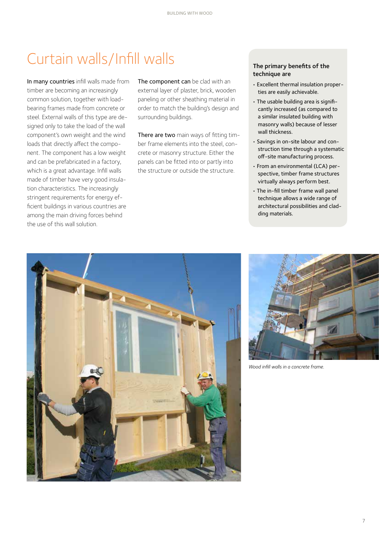### Curtain walls/Infill walls

In many countries infill walls made from timber are becoming an increasingly common solution, together with loadbearing frames made from concrete or steel. External walls of this type are designed only to take the load of the wall component's own weight and the wind loads that directly affect the component. The component has a low weight and can be prefabricated in a factory, which is a great advantage. Infill walls made of timber have very good insulation characteristics. The increasingly stringent requirements for energy efficient buildings in various countries are among the main driving forces behind the use of this wall solution.

The component can be clad with an external layer of plaster, brick, wooden paneling or other sheathing material in order to match the building's design and surrounding buildings.

There are two main ways of fitting timber frame elements into the steel, concrete or masonry structure. Either the panels can be fitted into or partly into the structure or outside the structure.

#### The primary benefits of the technique are

- Excellent thermal insulation properties are easily achievable.
- The usable building area is significantly increased (as compared to a similar insulated building with masonry walls) because of lesser wall thickness.
- Savings in on-site labour and construction time through a systematic off-site manufacturing process.
- From an environmental (LCA) perspective, timber frame structures virtually always perform best.
- The in-fill timber frame wall panel technique allows a wide range of architectural possibilities and cladding materials.





*Wood infill walls in a concrete frame.*